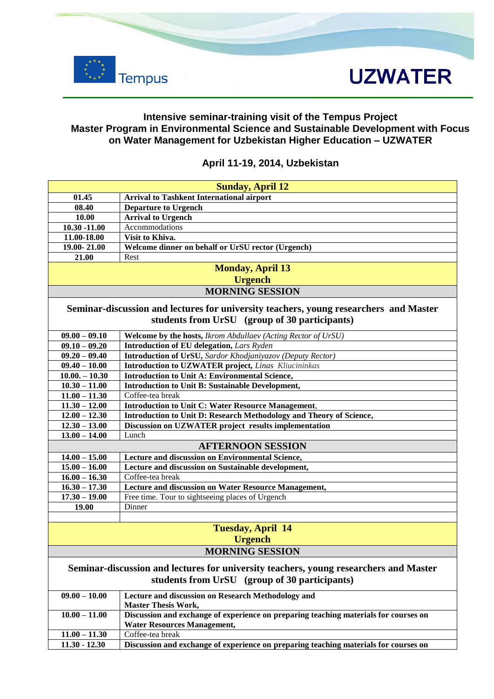

### **Intensive seminar-training visit of the Tempus Project Master Program in Environmental Science and Sustainable Development with Focus on Water Management for Uzbekistan Higher Education – UZWATER**

### **Sunday, April 12 01.45 Arrival to Tashkent International airport 08.40 Departure to Urgench 10.00 Arrival to Urgench 10.30 -11.00** Accommodations **11.00-18.00 Visit to Khiva. 19.00- 21.00 Welcome dinner on behalf or UrSU rector (Urgench) 21.00** Rest **Monday, April 13 Urgench MORNING SESSION Seminar-discussion and lectures for university teachers, young researchers and Master students from UrSU (group of 30 participants) 09.00 – 09.10 Welcome by the hosts,** *Ikrom Abdullaev (Acting Rector of UrSU)* **09.10 – 09.20 Introduction of EU delegation,** *Lars Ryden* **09.20 – 09.40 Introduction of UrSU,** *Sardor Khodjaniyazov (Deputy Rector)* **09.40 – 10.00 Introduction to UZWATER project***, Linas Kliucininkas* **10.00. – 10.30 Introduction to Unit A: Environmental Science,**  10.30 – 11.00 **Introduction to Unit B: Sustainable Development,**<br>11.00 – 11.30 Coffee-tea break 11.00 – 11.30 Coffee-tea break<br>
11.30 – 12.00 **Introduction to**<br>
12.00 – 12.30 **Introduction to 11.50 Literature Introduction to Unit C: Water Resource Management, 12.00 – 12.30 Introduction to Unit D: Research Methodology and Theory of Science, 12.30 – 13.00 Discussion on UZWATER project results implementation 13.00 – 14.00** Lunch **AFTERNOON SESSION 14.00 – 15.00 Lecture and discussion on Environmental Science, 15.00 – 16.00 Lecture and discussion on Sustainable development, 16.00 – 16.30** Coffee-tea break **16.30 – 17.30 Lecture and discussion on Water Resource Management, 17.30 – 19.00** Free time. Tour to sightseeing places of Urgench **19.00** Dinner **Tuesday, April 14 Urgench MORNING SESSION Seminar-discussion and lectures for university teachers, young researchers and Master students from UrSU (group of 30 participants) 09.00 – 10.00 Lecture and discussion on Research Methodology and Master Thesis Work,**

### **April 11-19, 2014, Uzbekistan**

| $09.00 - 10.00$ | Lecture and discussion on Research Methodology and                                   |
|-----------------|--------------------------------------------------------------------------------------|
|                 | <b>Master Thesis Work,</b>                                                           |
| $10.00 - 11.00$ | Discussion and exchange of experience on preparing teaching materials for courses on |
|                 | <b>Water Resources Management,</b>                                                   |
| $11.00 - 11.30$ | Coffee-tea break                                                                     |
| $11.30 - 12.30$ | Discussion and exchange of experience on preparing teaching materials for courses on |
|                 |                                                                                      |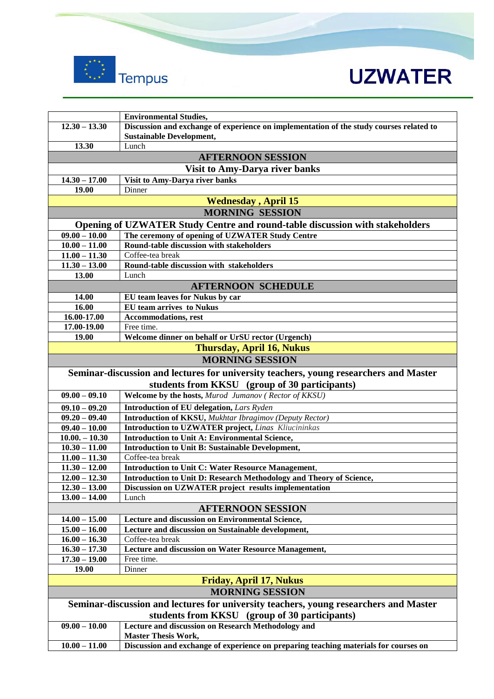

|                                                                                       | <b>Environmental Studies,</b>                                                           |  |
|---------------------------------------------------------------------------------------|-----------------------------------------------------------------------------------------|--|
| $12.30 - 13.30$                                                                       | Discussion and exchange of experience on implementation of the study courses related to |  |
|                                                                                       | <b>Sustainable Development,</b>                                                         |  |
| 13.30                                                                                 | Lunch                                                                                   |  |
| <b>AFTERNOON SESSION</b>                                                              |                                                                                         |  |
|                                                                                       | Visit to Amy-Darya river banks                                                          |  |
| $14.30 - 17.00$                                                                       | Visit to Amy-Darya river banks                                                          |  |
| 19.00                                                                                 | Dinner                                                                                  |  |
|                                                                                       | <b>Wednesday, April 15</b>                                                              |  |
|                                                                                       | <b>MORNING SESSION</b>                                                                  |  |
|                                                                                       | Opening of UZWATER Study Centre and round-table discussion with stakeholders            |  |
| $09.00 - 10.00$                                                                       | The ceremony of opening of UZWATER Study Centre                                         |  |
| $10.00 - 11.00$                                                                       | Round-table discussion with stakeholders                                                |  |
| $11.00 - 11.30$                                                                       | Coffee-tea break                                                                        |  |
| $11.30 - 13.00$                                                                       | Round-table discussion with stakeholders                                                |  |
| <b>13.00</b>                                                                          | Lunch                                                                                   |  |
| <b>AFTERNOON SCHEDULE</b>                                                             |                                                                                         |  |
| 14.00                                                                                 | EU team leaves for Nukus by car                                                         |  |
| 16.00                                                                                 | <b>EU</b> team arrives to Nukus                                                         |  |
| 16.00-17.00                                                                           | <b>Accommodations, rest</b>                                                             |  |
| 17.00-19.00                                                                           | Free time.                                                                              |  |
| 19.00                                                                                 | Welcome dinner on behalf or UrSU rector (Urgench)                                       |  |
|                                                                                       | <b>Thursday, April 16, Nukus</b>                                                        |  |
|                                                                                       | <b>MORNING SESSION</b>                                                                  |  |
|                                                                                       |                                                                                         |  |
| Seminar-discussion and lectures for university teachers, young researchers and Master |                                                                                         |  |
|                                                                                       | students from KKSU (group of 30 participants)                                           |  |
| $09.00 - 09.10$                                                                       | Welcome by the hosts, Murod Jumanov (Rector of KKSU)                                    |  |
| $09.10 - 09.20$                                                                       | <b>Introduction of EU delegation, Lars Ryden</b>                                        |  |
| $09.20 - 09.40$                                                                       | Introduction of KKSU, Mukhtar Ibragimov (Deputy Rector)                                 |  |
| $09.40 - 10.00$                                                                       | <b>Introduction to UZWATER project, Linas Kliucininkas</b>                              |  |
| $10.00 - 10.30$                                                                       | <b>Introduction to Unit A: Environmental Science,</b>                                   |  |
| $10.30 - 11.00$                                                                       | <b>Introduction to Unit B: Sustainable Development,</b>                                 |  |
| $11.00 - 11.30$                                                                       | Coffee-tea break                                                                        |  |
| $11.30 - 12.00$                                                                       | <b>Introduction to Unit C: Water Resource Management,</b>                               |  |
| $12.00 - 12.30$                                                                       | Introduction to Unit D: Research Methodology and Theory of Science,                     |  |
| $12.30 - 13.00$                                                                       | Discussion on UZWATER project results implementation                                    |  |
| $13.00 - 14.00$                                                                       | Lunch                                                                                   |  |
| <b>AFTERNOON SESSION</b>                                                              |                                                                                         |  |
| $14.00 - 15.00$                                                                       | Lecture and discussion on Environmental Science,                                        |  |
| $15.00 - 16.00$                                                                       | Lecture and discussion on Sustainable development,                                      |  |
| $16.00 - 16.30$                                                                       | Coffee-tea break                                                                        |  |
| $16.30 - 17.30$                                                                       | Lecture and discussion on Water Resource Management,                                    |  |
| $17.30 - 19.00$                                                                       | Free time.                                                                              |  |
| <b>19.00</b>                                                                          | Dinner                                                                                  |  |
| <b>Friday, April 17, Nukus</b>                                                        |                                                                                         |  |
| <b>MORNING SESSION</b>                                                                |                                                                                         |  |
| Seminar-discussion and lectures for university teachers, young researchers and Master |                                                                                         |  |
| students from KKSU (group of 30 participants)                                         |                                                                                         |  |
| $09.00 - 10.00$                                                                       | Lecture and discussion on Research Methodology and                                      |  |
|                                                                                       | <b>Master Thesis Work,</b>                                                              |  |
| $10.00 - 11.00$                                                                       | Discussion and exchange of experience on preparing teaching materials for courses on    |  |
|                                                                                       |                                                                                         |  |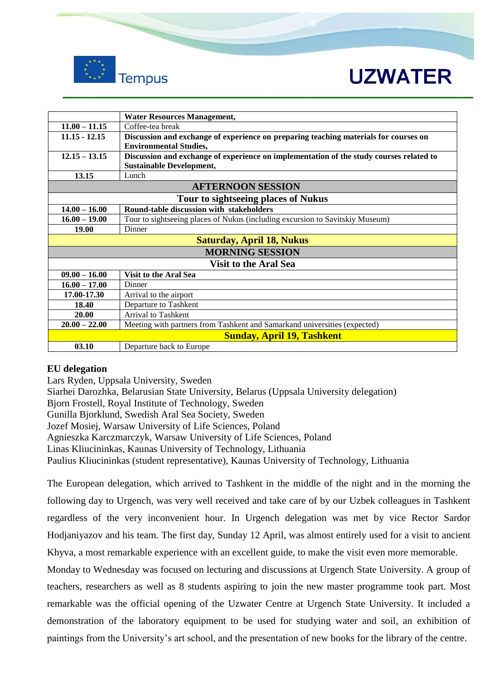

|                                     | <b>Water Resources Management,</b>                                                      |  |
|-------------------------------------|-----------------------------------------------------------------------------------------|--|
| $11.00 - 11.15$                     | Coffee-tea break                                                                        |  |
| $11.15 - 12.15$                     | Discussion and exchange of experience on preparing teaching materials for courses on    |  |
|                                     | <b>Environmental Studies,</b>                                                           |  |
| $12.15 - 13.15$                     | Discussion and exchange of experience on implementation of the study courses related to |  |
|                                     | <b>Sustainable Development,</b>                                                         |  |
| 13.15                               | Lunch                                                                                   |  |
| <b>AFTERNOON SESSION</b>            |                                                                                         |  |
| Tour to sightseeing places of Nukus |                                                                                         |  |
| $14.00 - 16.00$                     | Round-table discussion with stakeholders                                                |  |
| $16.00 - 19.00$                     | Tour to sightseeing places of Nukus (including excursion to Savitskiy Museum)           |  |
| <b>19.00</b>                        | Dinner                                                                                  |  |
| <b>Saturday, April 18, Nukus</b>    |                                                                                         |  |
| <b>MORNING SESSION</b>              |                                                                                         |  |
| <b>Visit to the Aral Sea</b>        |                                                                                         |  |
| $09.00 - 16.00$                     | <b>Visit to the Aral Sea</b>                                                            |  |
| $16.00 - 17.00$                     | Dinner                                                                                  |  |
| 17.00-17.30                         | Arrival to the airport                                                                  |  |
| 18.40                               | Departure to Tashkent                                                                   |  |
| 20.00                               | Arrival to Tashkent                                                                     |  |
| $20.00 - 22.00$                     | Meeting with partners from Tashkent and Samarkand universities (expected)               |  |
| <b>Sunday, April 19, Tashkent</b>   |                                                                                         |  |
| 03.10                               | Departure back to Europe                                                                |  |

### **EU delegation**

Lars Ryden, Uppsala University, Sweden Siarhei Darozhka, Belarusian State University, Belarus (Uppsala University delegation) Bjorn Frostell, Royal Institute of Technology, Sweden Gunilla Bjorklund, Swedish Aral Sea Society, Sweden Jozef Mosiej, Warsaw University of Life Sciences, Poland Agnieszka Karczmarczyk, Warsaw University of Life Sciences, Poland Linas Kliucininkas, Kaunas University of Technology, Lithuania Paulius Kliucininkas (student representative), Kaunas University of Technology, Lithuania

The European delegation, which arrived to Tashkent in the middle of the night and in the morning the following day to Urgench, was very well received and take care of by our Uzbek colleagues in Tashkent regardless of the very inconvenient hour. In Urgench delegation was met by vice Rector Sardor Hodjaniyazov and his team. The first day, Sunday 12 April, was almost entirely used for a visit to ancient Khyva, a most remarkable experience with an excellent guide, to make the visit even more memorable.

Monday to Wednesday was focused on lecturing and discussions at Urgench State University. A group of teachers, researchers as well as 8 students aspiring to join the new master programme took part. Most remarkable was the official opening of the Uzwater Centre at Urgench State University. It included a demonstration of the laboratory equipment to be used for studying water and soil, an exhibition of paintings from the University's art school, and the presentation of new books for the library of the centre.